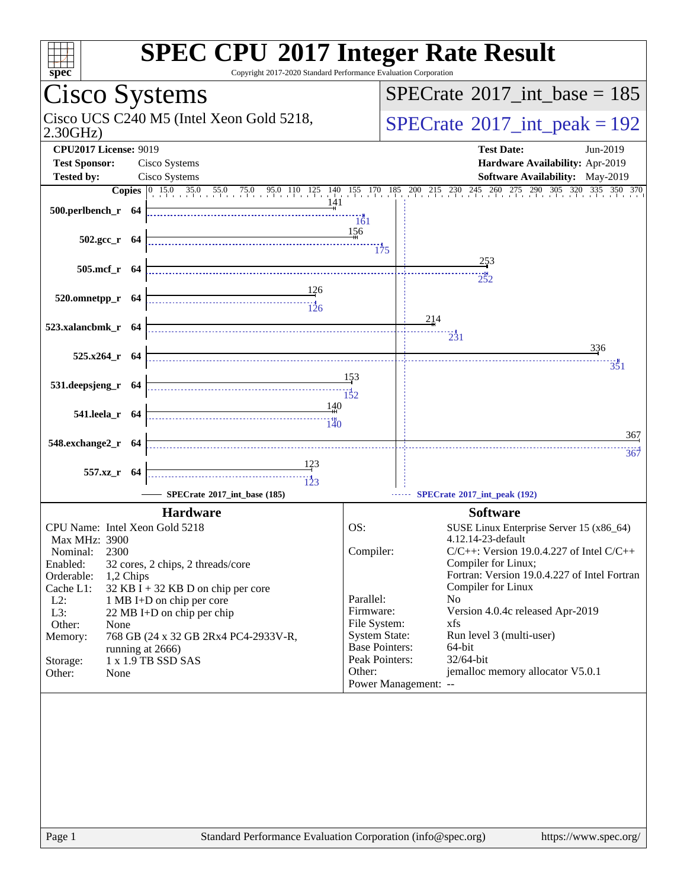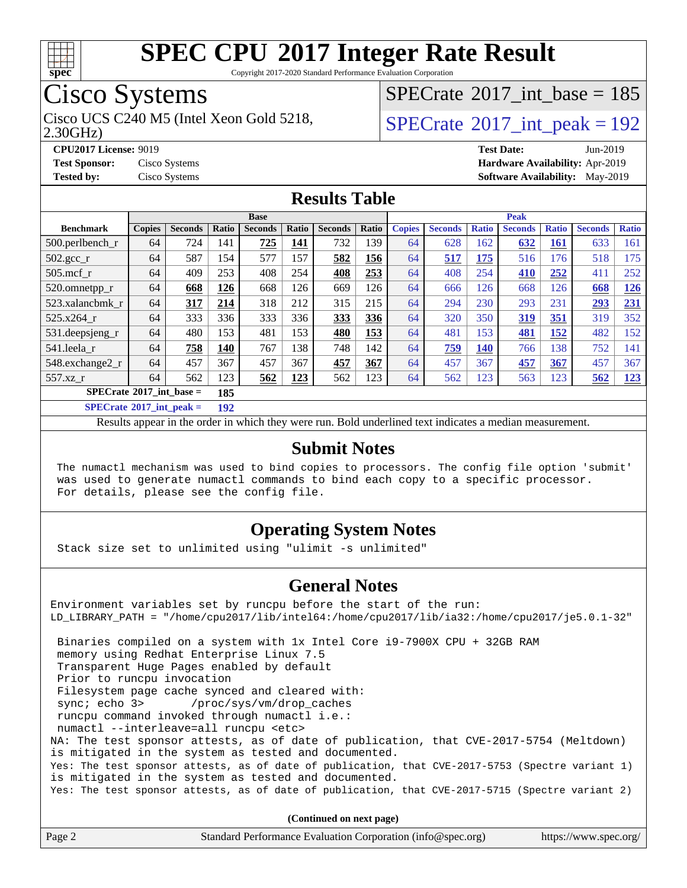

Copyright 2017-2020 Standard Performance Evaluation Corporation

## Cisco Systems

 $SPECrate$ <sup>®</sup>[2017\\_int\\_base =](http://www.spec.org/auto/cpu2017/Docs/result-fields.html#SPECrate2017intbase) 185

2.30GHz)

Cisco UCS C240 M5 (Intel Xeon Gold 5218,  $SPECTate^{\circ}2017\_int\_peak = 192$ 

**[CPU2017 License:](http://www.spec.org/auto/cpu2017/Docs/result-fields.html#CPU2017License)** 9019 **[Test Date:](http://www.spec.org/auto/cpu2017/Docs/result-fields.html#TestDate)** Jun-2019 **[Test Sponsor:](http://www.spec.org/auto/cpu2017/Docs/result-fields.html#TestSponsor)** Cisco Systems **[Hardware Availability:](http://www.spec.org/auto/cpu2017/Docs/result-fields.html#HardwareAvailability)** Apr-2019 **[Tested by:](http://www.spec.org/auto/cpu2017/Docs/result-fields.html#Testedby)** Cisco Systems **[Software Availability:](http://www.spec.org/auto/cpu2017/Docs/result-fields.html#SoftwareAvailability)** May-2019

#### **[Results Table](http://www.spec.org/auto/cpu2017/Docs/result-fields.html#ResultsTable)**

|                                                                                                     | <b>Base</b>   |                |                |                |              | <b>Peak</b>    |            |               |                |              |                |              |                |              |
|-----------------------------------------------------------------------------------------------------|---------------|----------------|----------------|----------------|--------------|----------------|------------|---------------|----------------|--------------|----------------|--------------|----------------|--------------|
| <b>Benchmark</b>                                                                                    | <b>Copies</b> | <b>Seconds</b> | Ratio          | <b>Seconds</b> | <b>Ratio</b> | <b>Seconds</b> | Ratio      | <b>Copies</b> | <b>Seconds</b> | <b>Ratio</b> | <b>Seconds</b> | <b>Ratio</b> | <b>Seconds</b> | <b>Ratio</b> |
| 500.perlbench_r                                                                                     | 64            | 724            | 141            | 725            | 141          | 732            | 139        | 64            | 628            | 162          | 632            | 161          | 633            | 161          |
| $502.\text{gcc}$ _r                                                                                 | 64            | 587            | 154            | 577            | 157          | 582            | 156        | 64            | 517            | 175          | 516            | 176          | 518            | 175          |
| $505$ .mcf r                                                                                        | 64            | 409            | 253            | 408            | 254          | 408            | 253        | 64            | 408            | 254          | 410            | 252          | 411            | 252          |
| 520.omnetpp_r                                                                                       | 64            | 668            | 126            | 668            | 126          | 669            | 126        | 64            | 666            | 126          | 668            | 126          | 668            | 126          |
| 523.xalancbmk r                                                                                     | 64            | 317            | 214            | 318            | 212          | 315            | 215        | 64            | 294            | 230          | 293            | 231          | 293            | 231          |
| 525.x264 r                                                                                          | 64            | 333            | 336            | 333            | 336          | 333            | 336        | 64            | 320            | 350          | 319            | 351          | 319            | 352          |
| $531.$ deepsjeng $_r$                                                                               | 64            | 480            | 153            | 481            | 153          | 480            | <b>153</b> | 64            | 481            | 153          | 481            | 152          | 482            | 152          |
| 541.leela r                                                                                         | 64            | 758            | 140            | 767            | 138          | 748            | 142        | 64            | 759            | <b>140</b>   | 766            | 138          | 752            | 141          |
| 548.exchange2_r                                                                                     | 64            | 457            | 367            | 457            | 367          | 457            | 367        | 64            | 457            | 367          | 457            | 367          | 457            | 367          |
| 557.xz r                                                                                            | 64            | 562            | 123            | 562            | 123          | 562            | 123        | 64            | 562            | 123          | 563            | 123          | 562            | <u>123</u>   |
| $SPECrate^{\circ}2017$ int base =                                                                   |               |                | 185            |                |              |                |            |               |                |              |                |              |                |              |
| $C1$ $A0$ $A1$ $A2$ $A3$ $A4$ $A5$ $A6$ $A7$ $A8$ $A9$ $A1$ $A1$ $A2$ $A3$ $A1$ $A2$ $A3$ $A1$ $A2$ |               |                | $\overline{a}$ |                |              |                |            |               |                |              |                |              |                |              |

**[SPECrate](http://www.spec.org/auto/cpu2017/Docs/result-fields.html#SPECrate2017intpeak)[2017\\_int\\_peak =](http://www.spec.org/auto/cpu2017/Docs/result-fields.html#SPECrate2017intpeak) 192**

Results appear in the [order in which they were run](http://www.spec.org/auto/cpu2017/Docs/result-fields.html#RunOrder). Bold underlined text [indicates a median measurement](http://www.spec.org/auto/cpu2017/Docs/result-fields.html#Median).

#### **[Submit Notes](http://www.spec.org/auto/cpu2017/Docs/result-fields.html#SubmitNotes)**

 The numactl mechanism was used to bind copies to processors. The config file option 'submit' was used to generate numactl commands to bind each copy to a specific processor. For details, please see the config file.

#### **[Operating System Notes](http://www.spec.org/auto/cpu2017/Docs/result-fields.html#OperatingSystemNotes)**

Stack size set to unlimited using "ulimit -s unlimited"

#### **[General Notes](http://www.spec.org/auto/cpu2017/Docs/result-fields.html#GeneralNotes)**

Environment variables set by runcpu before the start of the run: LD\_LIBRARY\_PATH = "/home/cpu2017/lib/intel64:/home/cpu2017/lib/ia32:/home/cpu2017/je5.0.1-32" Binaries compiled on a system with 1x Intel Core i9-7900X CPU + 32GB RAM memory using Redhat Enterprise Linux 7.5 Transparent Huge Pages enabled by default Prior to runcpu invocation Filesystem page cache synced and cleared with: sync; echo 3> /proc/sys/vm/drop\_caches runcpu command invoked through numactl i.e.: numactl --interleave=all runcpu <etc> NA: The test sponsor attests, as of date of publication, that CVE-2017-5754 (Meltdown) is mitigated in the system as tested and documented. Yes: The test sponsor attests, as of date of publication, that CVE-2017-5753 (Spectre variant 1) is mitigated in the system as tested and documented. Yes: The test sponsor attests, as of date of publication, that CVE-2017-5715 (Spectre variant 2)

**(Continued on next page)**

| Page 2<br>Standard Performance Evaluation Corporation (info@spec.org)<br>https://www.spec.org/ |
|------------------------------------------------------------------------------------------------|
|------------------------------------------------------------------------------------------------|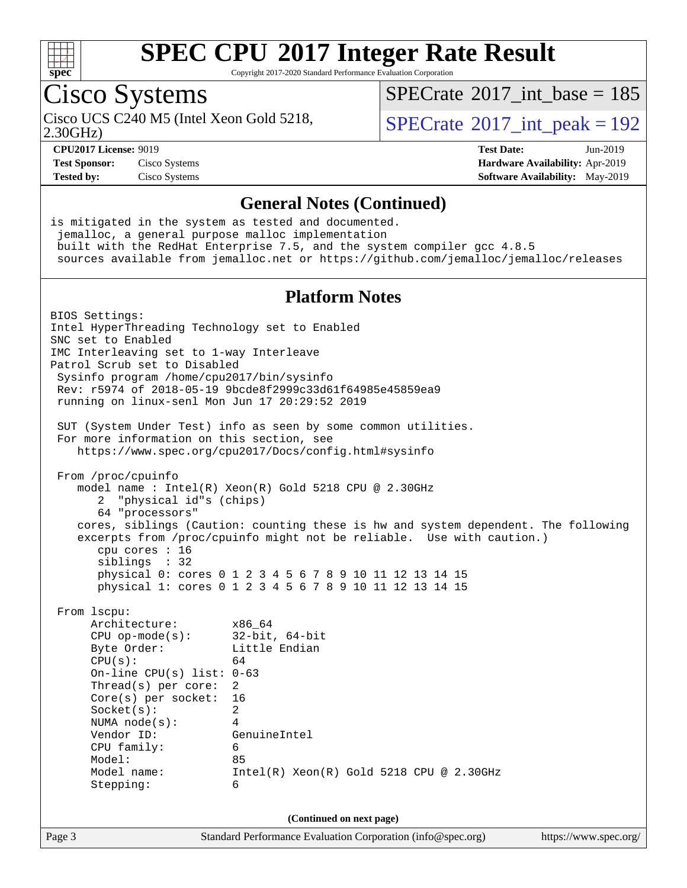

Copyright 2017-2020 Standard Performance Evaluation Corporation

## Cisco Systems

2.30GHz)

 $SPECTate$ <sup>®</sup>[2017\\_int\\_base =](http://www.spec.org/auto/cpu2017/Docs/result-fields.html#SPECrate2017intbase) 185

Cisco UCS C240 M5 (Intel Xeon Gold 5218,  $\vert$ [SPECrate](http://www.spec.org/auto/cpu2017/Docs/result-fields.html#SPECrate2017intpeak)®[2017\\_int\\_peak = 1](http://www.spec.org/auto/cpu2017/Docs/result-fields.html#SPECrate2017intpeak)92

**[Test Sponsor:](http://www.spec.org/auto/cpu2017/Docs/result-fields.html#TestSponsor)** Cisco Systems **[Hardware Availability:](http://www.spec.org/auto/cpu2017/Docs/result-fields.html#HardwareAvailability)** Apr-2019

**[CPU2017 License:](http://www.spec.org/auto/cpu2017/Docs/result-fields.html#CPU2017License)** 9019 **[Test Date:](http://www.spec.org/auto/cpu2017/Docs/result-fields.html#TestDate)** Jun-2019 **[Tested by:](http://www.spec.org/auto/cpu2017/Docs/result-fields.html#Testedby)** Cisco Systems **[Software Availability:](http://www.spec.org/auto/cpu2017/Docs/result-fields.html#SoftwareAvailability)** May-2019

#### **[General Notes \(Continued\)](http://www.spec.org/auto/cpu2017/Docs/result-fields.html#GeneralNotes)**

is mitigated in the system as tested and documented. jemalloc, a general purpose malloc implementation built with the RedHat Enterprise 7.5, and the system compiler gcc 4.8.5 sources available from jemalloc.net or <https://github.com/jemalloc/jemalloc/releases> **[Platform Notes](http://www.spec.org/auto/cpu2017/Docs/result-fields.html#PlatformNotes)** BIOS Settings: Intel HyperThreading Technology set to Enabled SNC set to Enabled IMC Interleaving set to 1-way Interleave Patrol Scrub set to Disabled Sysinfo program /home/cpu2017/bin/sysinfo Rev: r5974 of 2018-05-19 9bcde8f2999c33d61f64985e45859ea9 running on linux-senl Mon Jun 17 20:29:52 2019 SUT (System Under Test) info as seen by some common utilities. For more information on this section, see <https://www.spec.org/cpu2017/Docs/config.html#sysinfo> From /proc/cpuinfo model name : Intel(R) Xeon(R) Gold 5218 CPU @ 2.30GHz 2 "physical id"s (chips) 64 "processors" cores, siblings (Caution: counting these is hw and system dependent. The following excerpts from /proc/cpuinfo might not be reliable. Use with caution.) cpu cores : 16 siblings : 32 physical 0: cores 0 1 2 3 4 5 6 7 8 9 10 11 12 13 14 15 physical 1: cores 0 1 2 3 4 5 6 7 8 9 10 11 12 13 14 15 From lscpu: Architecture: x86\_64 CPU op-mode(s): 32-bit, 64-bit Byte Order: Little Endian  $CPU(s):$  64 On-line CPU(s) list: 0-63 Thread(s) per core: 2 Core(s) per socket: 16 Socket(s): 2 NUMA node(s): 4 Vendor ID: GenuineIntel CPU family: 6 Model: 85 Model name: Intel(R) Xeon(R) Gold 5218 CPU @ 2.30GHz Stepping: 6 **(Continued on next page)**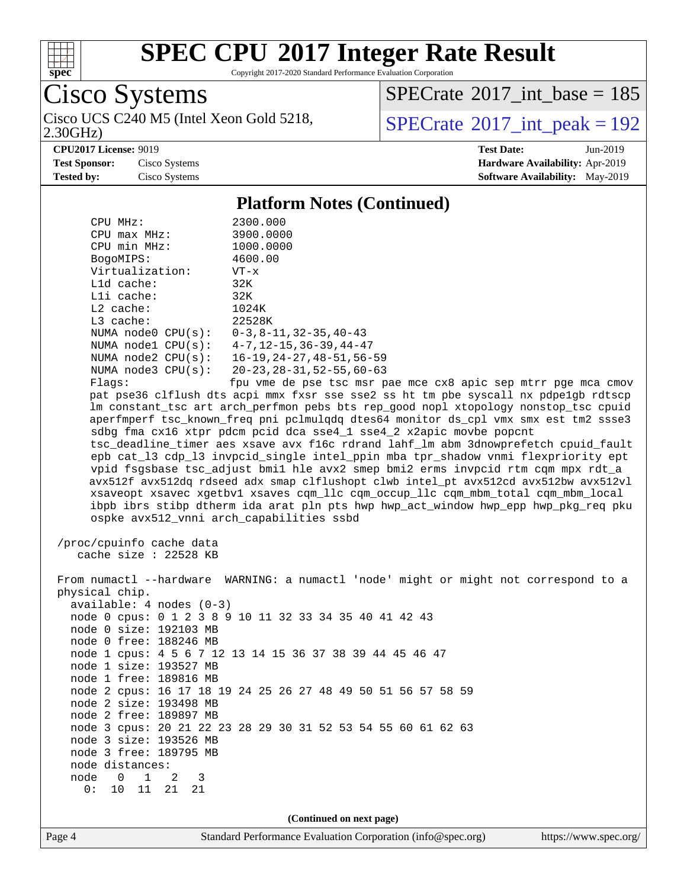

2.30GHz)

## **[SPEC CPU](http://www.spec.org/auto/cpu2017/Docs/result-fields.html#SPECCPU2017IntegerRateResult)[2017 Integer Rate Result](http://www.spec.org/auto/cpu2017/Docs/result-fields.html#SPECCPU2017IntegerRateResult)**

Copyright 2017-2020 Standard Performance Evaluation Corporation

Cisco Systems

 $SPECrate$ <sup>®</sup>[2017\\_int\\_base =](http://www.spec.org/auto/cpu2017/Docs/result-fields.html#SPECrate2017intbase) 185

Cisco UCS C240 M5 (Intel Xeon Gold 5218,  $SPECrate^{\circ}2017\_int\_peak = 192$  $SPECrate^{\circ}2017\_int\_peak = 192$ 

**[CPU2017 License:](http://www.spec.org/auto/cpu2017/Docs/result-fields.html#CPU2017License)** 9019 **[Test Date:](http://www.spec.org/auto/cpu2017/Docs/result-fields.html#TestDate)** Jun-2019

**[Test Sponsor:](http://www.spec.org/auto/cpu2017/Docs/result-fields.html#TestSponsor)** Cisco Systems **[Hardware Availability:](http://www.spec.org/auto/cpu2017/Docs/result-fields.html#HardwareAvailability)** Apr-2019 **[Tested by:](http://www.spec.org/auto/cpu2017/Docs/result-fields.html#Testedby)** Cisco Systems **[Software Availability:](http://www.spec.org/auto/cpu2017/Docs/result-fields.html#SoftwareAvailability)** May-2019

**[Platform Notes \(Continued\)](http://www.spec.org/auto/cpu2017/Docs/result-fields.html#PlatformNotes)**

|                                                          | I lativi in Twics (Continueu)                                                                                                                                              |  |  |  |  |  |  |
|----------------------------------------------------------|----------------------------------------------------------------------------------------------------------------------------------------------------------------------------|--|--|--|--|--|--|
| CPU MHz:                                                 | 2300.000                                                                                                                                                                   |  |  |  |  |  |  |
| CPU max MHz:                                             | 3900.0000                                                                                                                                                                  |  |  |  |  |  |  |
| CPU min MHz:                                             | 1000.0000                                                                                                                                                                  |  |  |  |  |  |  |
| BogoMIPS:                                                | 4600.00                                                                                                                                                                    |  |  |  |  |  |  |
| Virtualization:                                          | $VT - x$                                                                                                                                                                   |  |  |  |  |  |  |
| L1d cache:                                               | 32K                                                                                                                                                                        |  |  |  |  |  |  |
| Lli cache:                                               | 32K                                                                                                                                                                        |  |  |  |  |  |  |
| $L2$ cache:                                              | 1024K                                                                                                                                                                      |  |  |  |  |  |  |
| L3 cache:                                                | 22528K                                                                                                                                                                     |  |  |  |  |  |  |
| NUMA node0 CPU(s):                                       | $0 - 3$ , $8 - 11$ , $32 - 35$ , $40 - 43$                                                                                                                                 |  |  |  |  |  |  |
|                                                          | NUMA nodel CPU(s): 4-7, 12-15, 36-39, 44-47                                                                                                                                |  |  |  |  |  |  |
| NUMA $node2$ $CPU(s):$                                   | 16-19, 24-27, 48-51, 56-59                                                                                                                                                 |  |  |  |  |  |  |
| NUMA $node3$ $CPU(s):$                                   | 20-23, 28-31, 52-55, 60-63                                                                                                                                                 |  |  |  |  |  |  |
| Flags:                                                   | fpu vme de pse tsc msr pae mce cx8 apic sep mtrr pge mca cmov                                                                                                              |  |  |  |  |  |  |
|                                                          | pat pse36 clflush dts acpi mmx fxsr sse sse2 ss ht tm pbe syscall nx pdpelgb rdtscp<br>lm constant_tsc art arch_perfmon pebs bts rep_good nopl xtopology nonstop_tsc cpuid |  |  |  |  |  |  |
|                                                          | aperfmperf tsc_known_freq pni pclmulqdq dtes64 monitor ds_cpl vmx smx est tm2 ssse3                                                                                        |  |  |  |  |  |  |
|                                                          | sdbg fma cx16 xtpr pdcm pcid dca sse4_1 sse4_2 x2apic movbe popcnt                                                                                                         |  |  |  |  |  |  |
|                                                          | tsc_deadline_timer aes xsave avx f16c rdrand lahf_lm abm 3dnowprefetch cpuid_fault                                                                                         |  |  |  |  |  |  |
|                                                          | epb cat_13 cdp_13 invpcid_single intel_ppin mba tpr_shadow vnmi flexpriority ept                                                                                           |  |  |  |  |  |  |
|                                                          | vpid fsgsbase tsc_adjust bmil hle avx2 smep bmi2 erms invpcid rtm cqm mpx rdt_a<br>avx512f avx512dq rdseed adx smap clflushopt clwb intel_pt avx512cd avx512bw avx512vl    |  |  |  |  |  |  |
|                                                          |                                                                                                                                                                            |  |  |  |  |  |  |
|                                                          | xsaveopt xsavec xgetbvl xsaves cqm_llc cqm_occup_llc cqm_mbm_total cqm_mbm_local<br>ibpb ibrs stibp dtherm ida arat pln pts hwp hwp_act_window hwp_epp hwp_pkg_req pku     |  |  |  |  |  |  |
|                                                          | ospke avx512_vnni arch_capabilities ssbd                                                                                                                                   |  |  |  |  |  |  |
|                                                          |                                                                                                                                                                            |  |  |  |  |  |  |
| /proc/cpuinfo cache data                                 |                                                                                                                                                                            |  |  |  |  |  |  |
| cache size $: 22528$ KB                                  |                                                                                                                                                                            |  |  |  |  |  |  |
|                                                          |                                                                                                                                                                            |  |  |  |  |  |  |
|                                                          | From numactl --hardware WARNING: a numactl 'node' might or might not correspond to a                                                                                       |  |  |  |  |  |  |
| physical chip.                                           |                                                                                                                                                                            |  |  |  |  |  |  |
| $available: 4 nodes (0-3)$                               |                                                                                                                                                                            |  |  |  |  |  |  |
|                                                          | node 0 cpus: 0 1 2 3 8 9 10 11 32 33 34 35 40 41 42 43                                                                                                                     |  |  |  |  |  |  |
| node 0 size: 192103 MB                                   |                                                                                                                                                                            |  |  |  |  |  |  |
| node 0 free: 188246 MB                                   |                                                                                                                                                                            |  |  |  |  |  |  |
| node 1 cpus: 4 5 6 7 12 13 14 15 36 37 38 39 44 45 46 47 |                                                                                                                                                                            |  |  |  |  |  |  |
| node 1 size: 193527 MB                                   |                                                                                                                                                                            |  |  |  |  |  |  |
| node 1 free: 189816 MB                                   |                                                                                                                                                                            |  |  |  |  |  |  |
|                                                          | node 2 cpus: 16 17 18 19 24 25 26 27 48 49 50 51 56 57 58 59                                                                                                               |  |  |  |  |  |  |
| node 2 size: 193498 MB                                   |                                                                                                                                                                            |  |  |  |  |  |  |
| node 2 free: 189897 MB                                   |                                                                                                                                                                            |  |  |  |  |  |  |
|                                                          | node 3 cpus: 20 21 22 23 28 29 30 31 52 53 54 55 60 61 62 63                                                                                                               |  |  |  |  |  |  |
| node 3 size: 193526 MB                                   |                                                                                                                                                                            |  |  |  |  |  |  |
| node 3 free: 189795 MB                                   |                                                                                                                                                                            |  |  |  |  |  |  |
| node distances:                                          |                                                                                                                                                                            |  |  |  |  |  |  |
| 0<br>$\mathbf 1$<br>node<br>2<br>3                       |                                                                                                                                                                            |  |  |  |  |  |  |
| 0:<br>11<br>10<br>21<br>21                               |                                                                                                                                                                            |  |  |  |  |  |  |
|                                                          |                                                                                                                                                                            |  |  |  |  |  |  |
|                                                          | (Continued on next page)                                                                                                                                                   |  |  |  |  |  |  |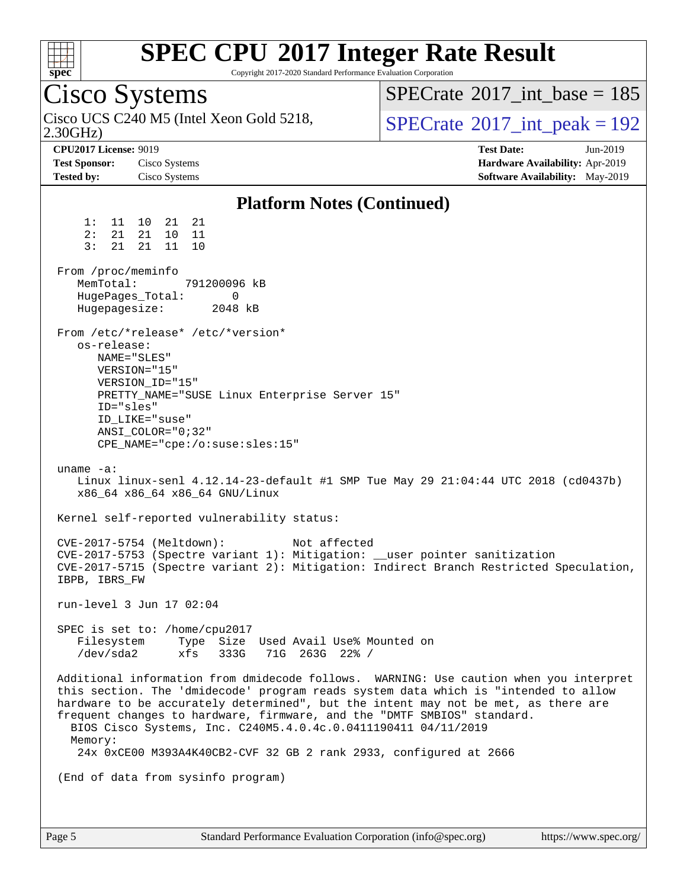

Copyright 2017-2020 Standard Performance Evaluation Corporation

Cisco Systems 2.30GHz) Cisco UCS C240 M5 (Intel Xeon Gold 5218,  $\vert$ [SPECrate](http://www.spec.org/auto/cpu2017/Docs/result-fields.html#SPECrate2017intpeak)®[2017\\_int\\_peak = 1](http://www.spec.org/auto/cpu2017/Docs/result-fields.html#SPECrate2017intpeak)92  $SPECTate$ <sup>®</sup>[2017\\_int\\_base =](http://www.spec.org/auto/cpu2017/Docs/result-fields.html#SPECrate2017intbase) 185 **[CPU2017 License:](http://www.spec.org/auto/cpu2017/Docs/result-fields.html#CPU2017License)** 9019 **[Test Date:](http://www.spec.org/auto/cpu2017/Docs/result-fields.html#TestDate)** Jun-2019 **[Test Sponsor:](http://www.spec.org/auto/cpu2017/Docs/result-fields.html#TestSponsor)** Cisco Systems **[Hardware Availability:](http://www.spec.org/auto/cpu2017/Docs/result-fields.html#HardwareAvailability)** Apr-2019 **[Tested by:](http://www.spec.org/auto/cpu2017/Docs/result-fields.html#Testedby)** Cisco Systems **[Software Availability:](http://www.spec.org/auto/cpu2017/Docs/result-fields.html#SoftwareAvailability)** May-2019 **[Platform Notes \(Continued\)](http://www.spec.org/auto/cpu2017/Docs/result-fields.html#PlatformNotes)** 1: 11 10 21 21 2: 21 21 10 11 3: 21 21 11 10 From /proc/meminfo MemTotal: 791200096 kB HugePages\_Total: 0<br>Hugepagesize: 2048 kB Hugepagesize: From /etc/\*release\* /etc/\*version\* os-release: NAME="SLES" VERSION="15" VERSION\_ID="15" PRETTY\_NAME="SUSE Linux Enterprise Server 15" ID="sles" ID\_LIKE="suse" ANSI\_COLOR="0;32" CPE\_NAME="cpe:/o:suse:sles:15" uname -a: Linux linux-senl 4.12.14-23-default #1 SMP Tue May 29 21:04:44 UTC 2018 (cd0437b) x86\_64 x86\_64 x86\_64 GNU/Linux Kernel self-reported vulnerability status: CVE-2017-5754 (Meltdown): Not affected CVE-2017-5753 (Spectre variant 1): Mitigation: \_\_user pointer sanitization CVE-2017-5715 (Spectre variant 2): Mitigation: Indirect Branch Restricted Speculation, IBPB, IBRS\_FW run-level 3 Jun 17 02:04 SPEC is set to: /home/cpu2017 Filesystem Type Size Used Avail Use% Mounted on /dev/sda2 xfs 333G 71G 263G 22% / Additional information from dmidecode follows. WARNING: Use caution when you interpret this section. The 'dmidecode' program reads system data which is "intended to allow hardware to be accurately determined", but the intent may not be met, as there are frequent changes to hardware, firmware, and the "DMTF SMBIOS" standard. BIOS Cisco Systems, Inc. C240M5.4.0.4c.0.0411190411 04/11/2019 Memory: 24x 0xCE00 M393A4K40CB2-CVF 32 GB 2 rank 2933, configured at 2666 (End of data from sysinfo program)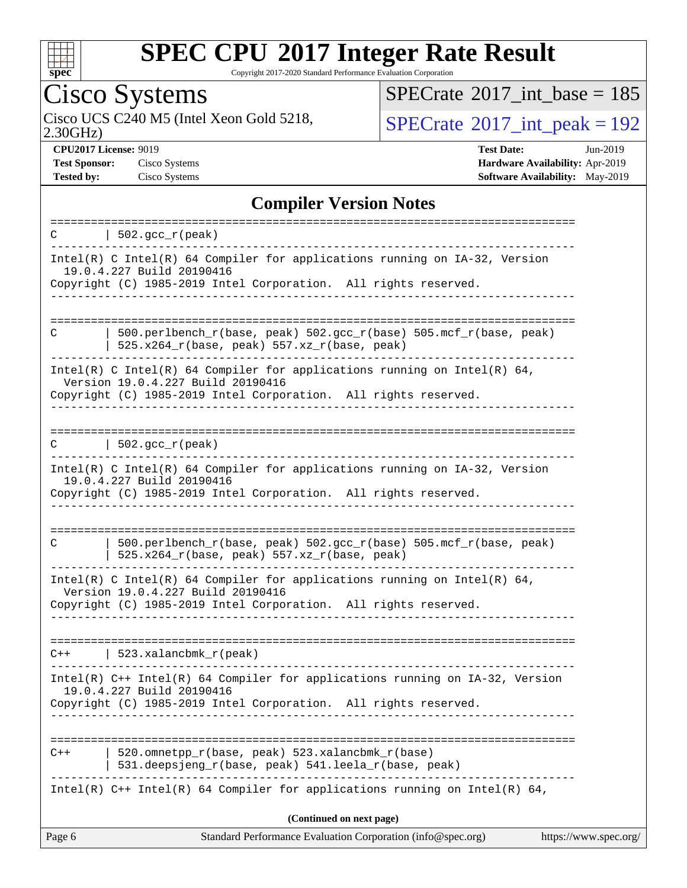

Copyright 2017-2020 Standard Performance Evaluation Corporation

## Cisco Systems

2.30GHz) Cisco UCS C240 M5 (Intel Xeon Gold 5218,  $SPECrate^{\circ}2017\_int\_peak = 192$  $SPECrate^{\circ}2017\_int\_peak = 192$ 

 $SPECrate$ <sup>®</sup>[2017\\_int\\_base =](http://www.spec.org/auto/cpu2017/Docs/result-fields.html#SPECrate2017intbase) 185

**[CPU2017 License:](http://www.spec.org/auto/cpu2017/Docs/result-fields.html#CPU2017License)** 9019 **[Test Date:](http://www.spec.org/auto/cpu2017/Docs/result-fields.html#TestDate)** Jun-2019 **[Test Sponsor:](http://www.spec.org/auto/cpu2017/Docs/result-fields.html#TestSponsor)** Cisco Systems **[Hardware Availability:](http://www.spec.org/auto/cpu2017/Docs/result-fields.html#HardwareAvailability)** Apr-2019 **[Tested by:](http://www.spec.org/auto/cpu2017/Docs/result-fields.html#Testedby)** Cisco Systems **[Software Availability:](http://www.spec.org/auto/cpu2017/Docs/result-fields.html#SoftwareAvailability)** May-2019

#### **[Compiler Version Notes](http://www.spec.org/auto/cpu2017/Docs/result-fields.html#CompilerVersionNotes)**

| $\vert$ 502.gcc_r(peak)<br>C                                                                                                                                                           |                       |
|----------------------------------------------------------------------------------------------------------------------------------------------------------------------------------------|-----------------------|
| Intel(R) C Intel(R) 64 Compiler for applications running on IA-32, Version<br>19.0.4.227 Build 20190416<br>Copyright (C) 1985-2019 Intel Corporation. All rights reserved.             |                       |
| $500. perlbench_r(base, peak) 502. gcc_r(base) 505. mcf_r(base, peak)$<br>C<br>$525.x264_r(base, peak) 557.xz_r(base, peak)$                                                           |                       |
| Intel(R) C Intel(R) 64 Compiler for applications running on Intel(R) 64,<br>Version 19.0.4.227 Build 20190416<br>Copyright (C) 1985-2019 Intel Corporation. All rights reserved.       |                       |
| $\vert$ 502.gcc_r(peak)<br>C                                                                                                                                                           |                       |
| Intel(R) C Intel(R) 64 Compiler for applications running on IA-32, Version<br>19.0.4.227 Build 20190416<br>Copyright (C) 1985-2019 Intel Corporation. All rights reserved.<br><u>.</u> |                       |
| 500.perlbench_r(base, peak) 502.gcc_r(base) 505.mcf_r(base, peak)<br>C<br>525.x264_r(base, peak) 557.xz_r(base, peak)                                                                  |                       |
| Intel(R) C Intel(R) 64 Compiler for applications running on Intel(R) 64,<br>Version 19.0.4.227 Build 20190416<br>Copyright (C) 1985-2019 Intel Corporation. All rights reserved.       |                       |
| $C++$   523.xalancbmk_r(peak)                                                                                                                                                          |                       |
| Intel(R) C++ Intel(R) 64 Compiler for applications running on IA-32, Version<br>19.0.4.227 Build 20190416<br>Copyright (C) 1985-2019 Intel Corporation. All rights reserved.           |                       |
| 520.omnetpp_r(base, peak) 523.xalancbmk_r(base)<br>$C++$<br>531.deepsjeng_r(base, peak) 541.leela_r(base, peak)                                                                        |                       |
| Intel(R) $C++$ Intel(R) 64 Compiler for applications running on Intel(R) 64,                                                                                                           |                       |
| (Continued on next page)<br>Page 6<br>Standard Performance Evaluation Corporation (info@spec.org)                                                                                      | https://www.spec.org/ |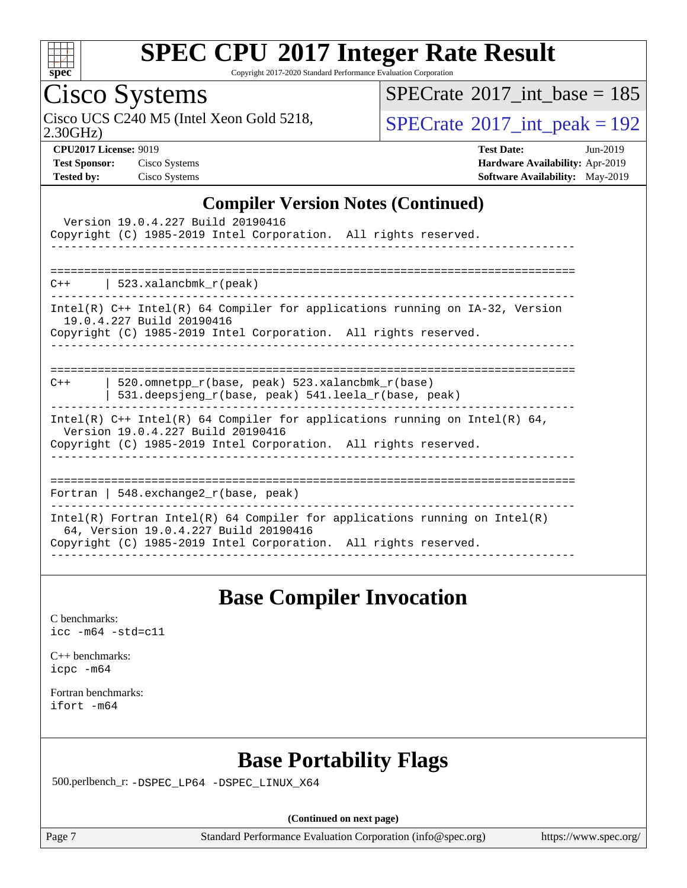

Copyright 2017-2020 Standard Performance Evaluation Corporation

## Cisco Systems

 $SPECrate$ <sup>®</sup>[2017\\_int\\_base =](http://www.spec.org/auto/cpu2017/Docs/result-fields.html#SPECrate2017intbase) 185

Cisco UCS C240 M5 (Intel Xeon Gold 5218,  $SPECrate^{\circ}2017\_int\_peak = 192$  $SPECrate^{\circ}2017\_int\_peak = 192$ 

2.30GHz)

| $\mathbf{v}$ . $\mathbf{v}$ . The state $\mathbf{v}$ |              |
|------------------------------------------------------|--------------|
| <b>Test Sponsor:</b>                                 | Cisco Systen |
| Tested by:                                           | Cisco System |

**[CPU2017 License:](http://www.spec.org/auto/cpu2017/Docs/result-fields.html#CPU2017License)** 9019 **[Test Date:](http://www.spec.org/auto/cpu2017/Docs/result-fields.html#TestDate)** Jun-2019 **[Test Sponsor:](http://www.spec.org/auto/cpu2017/Docs/result-fields.html#TestSponsor)** Cisco Systems **[Hardware Availability:](http://www.spec.org/auto/cpu2017/Docs/result-fields.html#HardwareAvailability)** Apr-2019 **[Tested by:](http://www.spec.org/auto/cpu2017/Docs/result-fields.html#Testedby)** Cisco Systems **[Software Availability:](http://www.spec.org/auto/cpu2017/Docs/result-fields.html#SoftwareAvailability)** May-2019

#### **[Compiler Version Notes \(Continued\)](http://www.spec.org/auto/cpu2017/Docs/result-fields.html#CompilerVersionNotes)**

| Version 19.0.4.227 Build 20190416<br>Copyright (C) 1985-2019 Intel Corporation. All rights reserved.                                                                                   |
|----------------------------------------------------------------------------------------------------------------------------------------------------------------------------------------|
| $C++$   523.xalancbmk $r(\text{peak})$                                                                                                                                                 |
| Intel(R) C++ Intel(R) 64 Compiler for applications running on IA-32, Version<br>19.0.4.227 Build 20190416<br>Copyright (C) 1985-2019 Intel Corporation. All rights reserved.           |
| 520.omnetpp $r(base, peak)$ 523.xalancbmk $r(base)$<br>$C++$<br>531.deepsjeng_r(base, peak) 541.leela_r(base, peak)                                                                    |
| Intel(R) $C++$ Intel(R) 64 Compiler for applications running on Intel(R) 64,<br>Version 19.0.4.227 Build 20190416<br>Copyright (C) 1985-2019 Intel Corporation. All rights reserved.   |
| Fortran   548.exchange2 $r(base, peak)$                                                                                                                                                |
| Intel(R) Fortran Intel(R) 64 Compiler for applications running on Intel(R)<br>64, Version 19.0.4.227 Build 20190416<br>Copyright (C) 1985-2019 Intel Corporation. All rights reserved. |

#### **[Base Compiler Invocation](http://www.spec.org/auto/cpu2017/Docs/result-fields.html#BaseCompilerInvocation)**

[C benchmarks](http://www.spec.org/auto/cpu2017/Docs/result-fields.html#Cbenchmarks): [icc -m64 -std=c11](http://www.spec.org/cpu2017/results/res2019q3/cpu2017-20190708-15923.flags.html#user_CCbase_intel_icc_64bit_c11_33ee0cdaae7deeeab2a9725423ba97205ce30f63b9926c2519791662299b76a0318f32ddfffdc46587804de3178b4f9328c46fa7c2b0cd779d7a61945c91cd35)

[C++ benchmarks:](http://www.spec.org/auto/cpu2017/Docs/result-fields.html#CXXbenchmarks) [icpc -m64](http://www.spec.org/cpu2017/results/res2019q3/cpu2017-20190708-15923.flags.html#user_CXXbase_intel_icpc_64bit_4ecb2543ae3f1412ef961e0650ca070fec7b7afdcd6ed48761b84423119d1bf6bdf5cad15b44d48e7256388bc77273b966e5eb805aefd121eb22e9299b2ec9d9)

[Fortran benchmarks](http://www.spec.org/auto/cpu2017/Docs/result-fields.html#Fortranbenchmarks): [ifort -m64](http://www.spec.org/cpu2017/results/res2019q3/cpu2017-20190708-15923.flags.html#user_FCbase_intel_ifort_64bit_24f2bb282fbaeffd6157abe4f878425411749daecae9a33200eee2bee2fe76f3b89351d69a8130dd5949958ce389cf37ff59a95e7a40d588e8d3a57e0c3fd751)

### **[Base Portability Flags](http://www.spec.org/auto/cpu2017/Docs/result-fields.html#BasePortabilityFlags)**

500.perlbench\_r: [-DSPEC\\_LP64](http://www.spec.org/cpu2017/results/res2019q3/cpu2017-20190708-15923.flags.html#b500.perlbench_r_basePORTABILITY_DSPEC_LP64) [-DSPEC\\_LINUX\\_X64](http://www.spec.org/cpu2017/results/res2019q3/cpu2017-20190708-15923.flags.html#b500.perlbench_r_baseCPORTABILITY_DSPEC_LINUX_X64)

**(Continued on next page)**

Page 7 Standard Performance Evaluation Corporation [\(info@spec.org\)](mailto:info@spec.org) <https://www.spec.org/>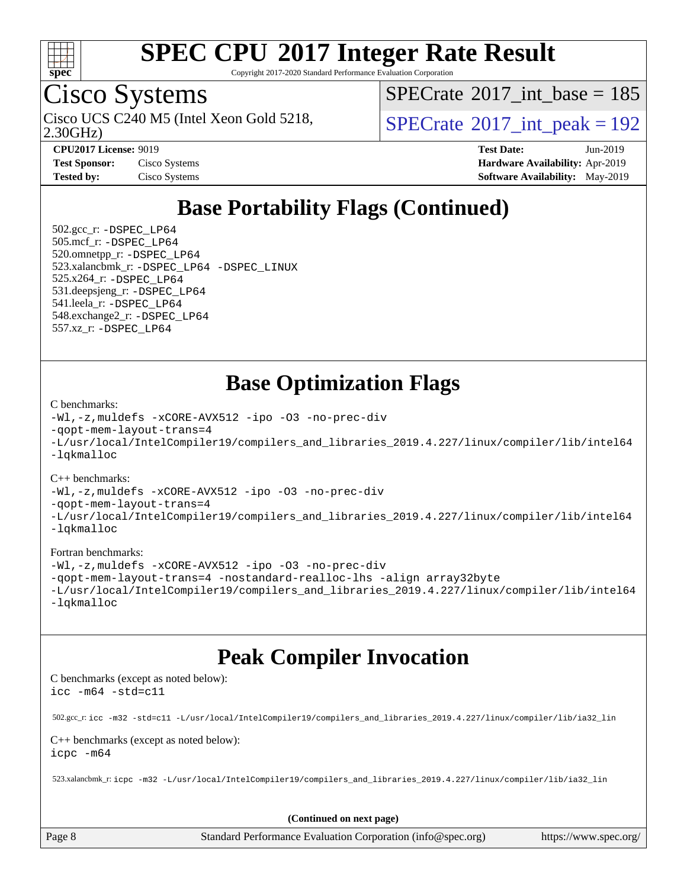

Copyright 2017-2020 Standard Performance Evaluation Corporation

## Cisco Systems

2.30GHz) Cisco UCS C240 M5 (Intel Xeon Gold 5218,  $SPECTate@2017$ \_int\_peak = 192

 $SPECrate$ <sup>®</sup>[2017\\_int\\_base =](http://www.spec.org/auto/cpu2017/Docs/result-fields.html#SPECrate2017intbase) 185

**[CPU2017 License:](http://www.spec.org/auto/cpu2017/Docs/result-fields.html#CPU2017License)** 9019 **[Test Date:](http://www.spec.org/auto/cpu2017/Docs/result-fields.html#TestDate)** Jun-2019 **[Test Sponsor:](http://www.spec.org/auto/cpu2017/Docs/result-fields.html#TestSponsor)** Cisco Systems **[Hardware Availability:](http://www.spec.org/auto/cpu2017/Docs/result-fields.html#HardwareAvailability)** Apr-2019 **[Tested by:](http://www.spec.org/auto/cpu2017/Docs/result-fields.html#Testedby)** Cisco Systems **[Software Availability:](http://www.spec.org/auto/cpu2017/Docs/result-fields.html#SoftwareAvailability)** May-2019

### **[Base Portability Flags \(Continued\)](http://www.spec.org/auto/cpu2017/Docs/result-fields.html#BasePortabilityFlags)**

 502.gcc\_r: [-DSPEC\\_LP64](http://www.spec.org/cpu2017/results/res2019q3/cpu2017-20190708-15923.flags.html#suite_basePORTABILITY502_gcc_r_DSPEC_LP64) 505.mcf\_r: [-DSPEC\\_LP64](http://www.spec.org/cpu2017/results/res2019q3/cpu2017-20190708-15923.flags.html#suite_basePORTABILITY505_mcf_r_DSPEC_LP64) 520.omnetpp\_r: [-DSPEC\\_LP64](http://www.spec.org/cpu2017/results/res2019q3/cpu2017-20190708-15923.flags.html#suite_basePORTABILITY520_omnetpp_r_DSPEC_LP64) 523.xalancbmk\_r: [-DSPEC\\_LP64](http://www.spec.org/cpu2017/results/res2019q3/cpu2017-20190708-15923.flags.html#suite_basePORTABILITY523_xalancbmk_r_DSPEC_LP64) [-DSPEC\\_LINUX](http://www.spec.org/cpu2017/results/res2019q3/cpu2017-20190708-15923.flags.html#b523.xalancbmk_r_baseCXXPORTABILITY_DSPEC_LINUX) 525.x264\_r: [-DSPEC\\_LP64](http://www.spec.org/cpu2017/results/res2019q3/cpu2017-20190708-15923.flags.html#suite_basePORTABILITY525_x264_r_DSPEC_LP64) 531.deepsjeng\_r: [-DSPEC\\_LP64](http://www.spec.org/cpu2017/results/res2019q3/cpu2017-20190708-15923.flags.html#suite_basePORTABILITY531_deepsjeng_r_DSPEC_LP64) 541.leela\_r: [-DSPEC\\_LP64](http://www.spec.org/cpu2017/results/res2019q3/cpu2017-20190708-15923.flags.html#suite_basePORTABILITY541_leela_r_DSPEC_LP64) 548.exchange2\_r: [-DSPEC\\_LP64](http://www.spec.org/cpu2017/results/res2019q3/cpu2017-20190708-15923.flags.html#suite_basePORTABILITY548_exchange2_r_DSPEC_LP64) 557.xz\_r: [-DSPEC\\_LP64](http://www.spec.org/cpu2017/results/res2019q3/cpu2017-20190708-15923.flags.html#suite_basePORTABILITY557_xz_r_DSPEC_LP64)

### **[Base Optimization Flags](http://www.spec.org/auto/cpu2017/Docs/result-fields.html#BaseOptimizationFlags)**

#### [C benchmarks](http://www.spec.org/auto/cpu2017/Docs/result-fields.html#Cbenchmarks):

```
-Wl,-z,muldefs -xCORE-AVX512 -ipo -O3 -no-prec-div
-qopt-mem-layout-trans=4
-L/usr/local/IntelCompiler19/compilers_and_libraries_2019.4.227/linux/compiler/lib/intel64
-lqkmalloc
```
#### [C++ benchmarks](http://www.spec.org/auto/cpu2017/Docs/result-fields.html#CXXbenchmarks):

```
-Wl,-z,muldefs -xCORE-AVX512 -ipo -O3 -no-prec-div
-qopt-mem-layout-trans=4
-L/usr/local/IntelCompiler19/compilers_and_libraries_2019.4.227/linux/compiler/lib/intel64
-lqkmalloc
```
#### [Fortran benchmarks](http://www.spec.org/auto/cpu2017/Docs/result-fields.html#Fortranbenchmarks):

```
-Wl,-z,muldefs -xCORE-AVX512 -ipo -O3 -no-prec-div
-qopt-mem-layout-trans=4 -nostandard-realloc-lhs -align array32byte
-L/usr/local/IntelCompiler19/compilers_and_libraries_2019.4.227/linux/compiler/lib/intel64
-lqkmalloc
```
### **[Peak Compiler Invocation](http://www.spec.org/auto/cpu2017/Docs/result-fields.html#PeakCompilerInvocation)**

[C benchmarks \(except as noted below\)](http://www.spec.org/auto/cpu2017/Docs/result-fields.html#Cbenchmarksexceptasnotedbelow): [icc -m64 -std=c11](http://www.spec.org/cpu2017/results/res2019q3/cpu2017-20190708-15923.flags.html#user_CCpeak_intel_icc_64bit_c11_33ee0cdaae7deeeab2a9725423ba97205ce30f63b9926c2519791662299b76a0318f32ddfffdc46587804de3178b4f9328c46fa7c2b0cd779d7a61945c91cd35)

502.gcc\_r: [icc -m32 -std=c11 -L/usr/local/IntelCompiler19/compilers\\_and\\_libraries\\_2019.4.227/linux/compiler/lib/ia32\\_lin](http://www.spec.org/cpu2017/results/res2019q3/cpu2017-20190708-15923.flags.html#user_peakCCLD502_gcc_r_intel_icc_38a193a897536fa645efb1dc6ac2bea2bddbbe56f130e144a606d1b2649003f27c79f8814020c1f9355cbbf0d7ab0d194a7a979ee1e2a95641bbb8cf571aac7b)

#### [C++ benchmarks \(except as noted below\)](http://www.spec.org/auto/cpu2017/Docs/result-fields.html#CXXbenchmarksexceptasnotedbelow): [icpc -m64](http://www.spec.org/cpu2017/results/res2019q3/cpu2017-20190708-15923.flags.html#user_CXXpeak_intel_icpc_64bit_4ecb2543ae3f1412ef961e0650ca070fec7b7afdcd6ed48761b84423119d1bf6bdf5cad15b44d48e7256388bc77273b966e5eb805aefd121eb22e9299b2ec9d9)

523.xalancbmk\_r: [icpc -m32 -L/usr/local/IntelCompiler19/compilers\\_and\\_libraries\\_2019.4.227/linux/compiler/lib/ia32\\_lin](http://www.spec.org/cpu2017/results/res2019q3/cpu2017-20190708-15923.flags.html#user_peakCXXLD523_xalancbmk_r_intel_icpc_840f965b38320ad10acba6032d6ca4c816e722c432c250f3408feae347068ba449f694544a48cf12cd3bde3495e328e6747ab0f629c2925d3062e2ee144af951)

**(Continued on next page)**

Page 8 Standard Performance Evaluation Corporation [\(info@spec.org\)](mailto:info@spec.org) <https://www.spec.org/>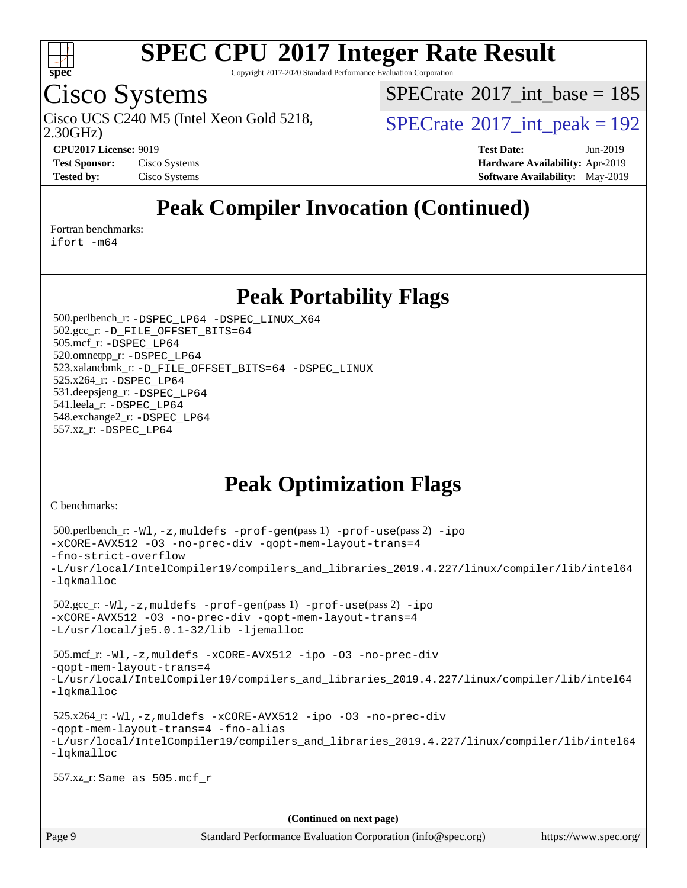

Copyright 2017-2020 Standard Performance Evaluation Corporation

## Cisco Systems

 $SPECrate$ <sup>®</sup>[2017\\_int\\_base =](http://www.spec.org/auto/cpu2017/Docs/result-fields.html#SPECrate2017intbase) 185

Cisco UCS C240 M5 (Intel Xeon Gold 5218,  $\vert$ [SPECrate](http://www.spec.org/auto/cpu2017/Docs/result-fields.html#SPECrate2017intpeak)®[2017\\_int\\_peak = 1](http://www.spec.org/auto/cpu2017/Docs/result-fields.html#SPECrate2017intpeak)92

2.30GHz)

**[CPU2017 License:](http://www.spec.org/auto/cpu2017/Docs/result-fields.html#CPU2017License)** 9019 **[Test Date:](http://www.spec.org/auto/cpu2017/Docs/result-fields.html#TestDate)** Jun-2019 **[Test Sponsor:](http://www.spec.org/auto/cpu2017/Docs/result-fields.html#TestSponsor)** Cisco Systems **[Hardware Availability:](http://www.spec.org/auto/cpu2017/Docs/result-fields.html#HardwareAvailability)** Apr-2019 **[Tested by:](http://www.spec.org/auto/cpu2017/Docs/result-fields.html#Testedby)** Cisco Systems **[Software Availability:](http://www.spec.org/auto/cpu2017/Docs/result-fields.html#SoftwareAvailability)** May-2019

### **[Peak Compiler Invocation \(Continued\)](http://www.spec.org/auto/cpu2017/Docs/result-fields.html#PeakCompilerInvocation)**

[Fortran benchmarks](http://www.spec.org/auto/cpu2017/Docs/result-fields.html#Fortranbenchmarks):

[ifort -m64](http://www.spec.org/cpu2017/results/res2019q3/cpu2017-20190708-15923.flags.html#user_FCpeak_intel_ifort_64bit_24f2bb282fbaeffd6157abe4f878425411749daecae9a33200eee2bee2fe76f3b89351d69a8130dd5949958ce389cf37ff59a95e7a40d588e8d3a57e0c3fd751)

**[Peak Portability Flags](http://www.spec.org/auto/cpu2017/Docs/result-fields.html#PeakPortabilityFlags)**

 500.perlbench\_r: [-DSPEC\\_LP64](http://www.spec.org/cpu2017/results/res2019q3/cpu2017-20190708-15923.flags.html#b500.perlbench_r_peakPORTABILITY_DSPEC_LP64) [-DSPEC\\_LINUX\\_X64](http://www.spec.org/cpu2017/results/res2019q3/cpu2017-20190708-15923.flags.html#b500.perlbench_r_peakCPORTABILITY_DSPEC_LINUX_X64) 502.gcc\_r: [-D\\_FILE\\_OFFSET\\_BITS=64](http://www.spec.org/cpu2017/results/res2019q3/cpu2017-20190708-15923.flags.html#user_peakPORTABILITY502_gcc_r_file_offset_bits_64_5ae949a99b284ddf4e95728d47cb0843d81b2eb0e18bdfe74bbf0f61d0b064f4bda2f10ea5eb90e1dcab0e84dbc592acfc5018bc955c18609f94ddb8d550002c) 505.mcf\_r: [-DSPEC\\_LP64](http://www.spec.org/cpu2017/results/res2019q3/cpu2017-20190708-15923.flags.html#suite_peakPORTABILITY505_mcf_r_DSPEC_LP64) 520.omnetpp\_r: [-DSPEC\\_LP64](http://www.spec.org/cpu2017/results/res2019q3/cpu2017-20190708-15923.flags.html#suite_peakPORTABILITY520_omnetpp_r_DSPEC_LP64) 523.xalancbmk\_r: [-D\\_FILE\\_OFFSET\\_BITS=64](http://www.spec.org/cpu2017/results/res2019q3/cpu2017-20190708-15923.flags.html#user_peakPORTABILITY523_xalancbmk_r_file_offset_bits_64_5ae949a99b284ddf4e95728d47cb0843d81b2eb0e18bdfe74bbf0f61d0b064f4bda2f10ea5eb90e1dcab0e84dbc592acfc5018bc955c18609f94ddb8d550002c) [-DSPEC\\_LINUX](http://www.spec.org/cpu2017/results/res2019q3/cpu2017-20190708-15923.flags.html#b523.xalancbmk_r_peakCXXPORTABILITY_DSPEC_LINUX) 525.x264\_r: [-DSPEC\\_LP64](http://www.spec.org/cpu2017/results/res2019q3/cpu2017-20190708-15923.flags.html#suite_peakPORTABILITY525_x264_r_DSPEC_LP64) 531.deepsjeng\_r: [-DSPEC\\_LP64](http://www.spec.org/cpu2017/results/res2019q3/cpu2017-20190708-15923.flags.html#suite_peakPORTABILITY531_deepsjeng_r_DSPEC_LP64) 541.leela\_r: [-DSPEC\\_LP64](http://www.spec.org/cpu2017/results/res2019q3/cpu2017-20190708-15923.flags.html#suite_peakPORTABILITY541_leela_r_DSPEC_LP64) 548.exchange2\_r: [-DSPEC\\_LP64](http://www.spec.org/cpu2017/results/res2019q3/cpu2017-20190708-15923.flags.html#suite_peakPORTABILITY548_exchange2_r_DSPEC_LP64) 557.xz\_r: [-DSPEC\\_LP64](http://www.spec.org/cpu2017/results/res2019q3/cpu2017-20190708-15923.flags.html#suite_peakPORTABILITY557_xz_r_DSPEC_LP64)

## **[Peak Optimization Flags](http://www.spec.org/auto/cpu2017/Docs/result-fields.html#PeakOptimizationFlags)**

[C benchmarks](http://www.spec.org/auto/cpu2017/Docs/result-fields.html#Cbenchmarks):

```
(info@spec.org)https://www.spec.org/
  500.perlbench_r: -Wl,-z,muldefs -prof-gen(pass 1) -prof-use(pass 2) -ipo
-xCORE-AVX512 -O3 -no-prec-div -qopt-mem-layout-trans=4
-fno-strict-overflow
-L/usr/local/IntelCompiler19/compilers_and_libraries_2019.4.227/linux/compiler/lib/intel64
-lqkmalloc
  502.gcc_r: -Wl,-z,muldefs -prof-gen(pass 1) -prof-use(pass 2) -ipo
-xCORE-AVX512 -O3 -no-prec-div -qopt-mem-layout-trans=4
-L/usr/local/je5.0.1-32/lib -ljemalloc
  505.mcf_r: -Wl,-z,muldefs -xCORE-AVX512 -ipo -O3 -no-prec-div
-qopt-mem-layout-trans=4
-L/usr/local/IntelCompiler19/compilers_and_libraries_2019.4.227/linux/compiler/lib/intel64
-lqkmalloc
  525.x264_r: -Wl,-z,muldefs -xCORE-AVX512 -ipo -O3 -no-prec-div
-qopt-mem-layout-trans=4 -fno-alias
-L/usr/local/IntelCompiler19/compilers_and_libraries_2019.4.227/linux/compiler/lib/intel64
-lqkmalloc
  557.xz_r: Same as 505.mcf_r
                                    (Continued on next page)
```